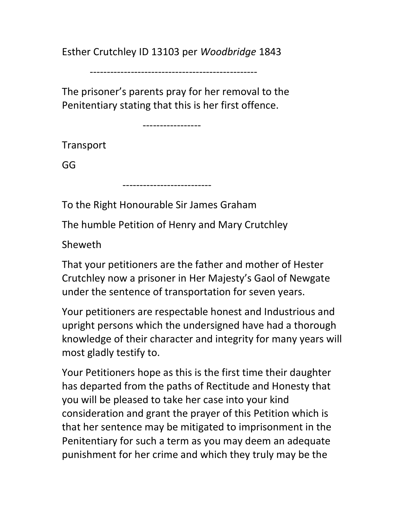Esther Crutchley ID 13103 per Woodbridge 1843

-------------------------------------------------

The prisoner's parents pray for her removal to the Penitentiary stating that this is her first offence.

-----------------

**Transport** 

GG

--------------------------

To the Right Honourable Sir James Graham

The humble Petition of Henry and Mary Crutchley

Sheweth

That your petitioners are the father and mother of Hester Crutchley now a prisoner in Her Majesty's Gaol of Newgate under the sentence of transportation for seven years.

Your petitioners are respectable honest and Industrious and upright persons which the undersigned have had a thorough knowledge of their character and integrity for many years will most gladly testify to.

Your Petitioners hope as this is the first time their daughter has departed from the paths of Rectitude and Honesty that you will be pleased to take her case into your kind consideration and grant the prayer of this Petition which is that her sentence may be mitigated to imprisonment in the Penitentiary for such a term as you may deem an adequate punishment for her crime and which they truly may be the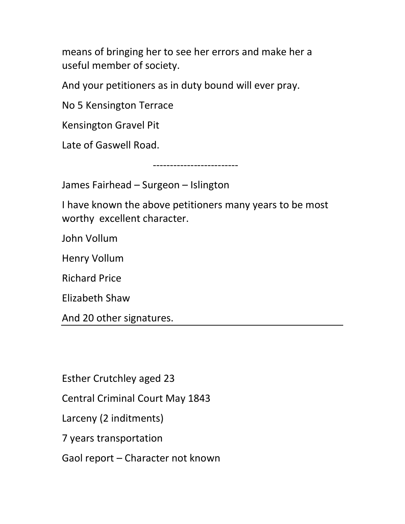means of bringing her to see her errors and make her a useful member of society.

And your petitioners as in duty bound will ever pray.

No 5 Kensington Terrace

Kensington Gravel Pit

Late of Gaswell Road.

-------------------------

James Fairhead – Surgeon – Islington

I have known the above petitioners many years to be most worthy excellent character.

John Vollum

Henry Vollum

Richard Price

Elizabeth Shaw

And 20 other signatures.

Esther Crutchley aged 23

Central Criminal Court May 1843

Larceny (2 inditments)

7 years transportation

Gaol report – Character not known